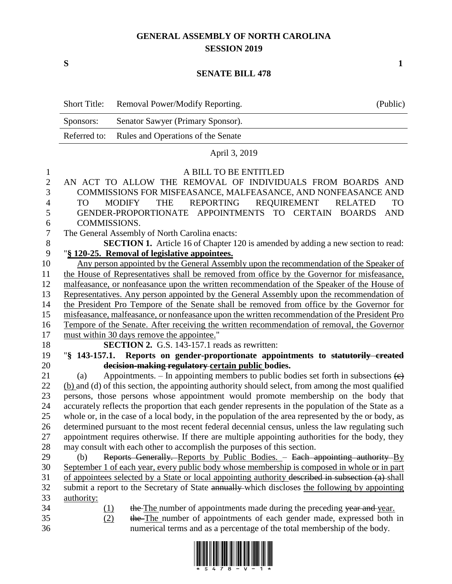## **GENERAL ASSEMBLY OF NORTH CAROLINA SESSION 2019**

**S 1**

## **SENATE BILL 478**

|                  | <b>Short Title:</b>                                                                                        | Removal Power/Modify Reporting.                                                                           | (Public) |  |  |  |  |
|------------------|------------------------------------------------------------------------------------------------------------|-----------------------------------------------------------------------------------------------------------|----------|--|--|--|--|
|                  | Sponsors:                                                                                                  | Senator Sawyer (Primary Sponsor).                                                                         |          |  |  |  |  |
|                  | Referred to:                                                                                               | Rules and Operations of the Senate                                                                        |          |  |  |  |  |
|                  |                                                                                                            | April 3, 2019                                                                                             |          |  |  |  |  |
| 1                |                                                                                                            | A BILL TO BE ENTITLED                                                                                     |          |  |  |  |  |
| $\overline{c}$   |                                                                                                            | AN ACT TO ALLOW THE REMOVAL OF INDIVIDUALS FROM BOARDS AND                                                |          |  |  |  |  |
| 3                | COMMISSIONS FOR MISFEASANCE, MALFEASANCE, AND NONFEASANCE AND                                              |                                                                                                           |          |  |  |  |  |
| 4                | <b>MODIFY</b><br><b>THE</b><br><b>REPORTING</b><br><b>REQUIREMENT</b><br><b>TO</b><br><b>RELATED</b><br>TO |                                                                                                           |          |  |  |  |  |
| 5                |                                                                                                            | GENDER-PROPORTIONATE<br><b>APPOINTMENTS</b><br><b>TO</b><br><b>CERTAIN</b><br><b>BOARDS</b><br><b>AND</b> |          |  |  |  |  |
| 6                |                                                                                                            | COMMISSIONS.                                                                                              |          |  |  |  |  |
| $\boldsymbol{7}$ |                                                                                                            | The General Assembly of North Carolina enacts:                                                            |          |  |  |  |  |
| $8\,$            | SECTION 1. Article 16 of Chapter 120 is amended by adding a new section to read:                           |                                                                                                           |          |  |  |  |  |
| 9                |                                                                                                            | "§ 120-25. Removal of legislative appointees.                                                             |          |  |  |  |  |
| 10               |                                                                                                            | Any person appointed by the General Assembly upon the recommendation of the Speaker of                    |          |  |  |  |  |
| 11               |                                                                                                            | the House of Representatives shall be removed from office by the Governor for misfeasance,                |          |  |  |  |  |
| 12               | malfeasance, or nonfeasance upon the written recommendation of the Speaker of the House of                 |                                                                                                           |          |  |  |  |  |
| 13               |                                                                                                            | Representatives. Any person appointed by the General Assembly upon the recommendation of                  |          |  |  |  |  |
| 14               |                                                                                                            | the President Pro Tempore of the Senate shall be removed from office by the Governor for                  |          |  |  |  |  |
| 15               |                                                                                                            | misfeasance, malfeasance, or nonfeasance upon the written recommendation of the President Pro             |          |  |  |  |  |
| 16               |                                                                                                            | Tempore of the Senate. After receiving the written recommendation of removal, the Governor                |          |  |  |  |  |
| 17               |                                                                                                            | must within 30 days remove the appointee."                                                                |          |  |  |  |  |
| 18               |                                                                                                            | <b>SECTION 2.</b> G.S. 143-157.1 reads as rewritten:                                                      |          |  |  |  |  |
| 19               |                                                                                                            | "§ 143-157.1. Reports on gender-proportionate appointments to statutorily created                         |          |  |  |  |  |
| 20               |                                                                                                            | decision-making regulatory-certain public bodies.                                                         |          |  |  |  |  |
| 21               | (a)                                                                                                        | Appointments. – In appointing members to public bodies set forth in subsections $\left(\epsilon\right)$   |          |  |  |  |  |
| 22               |                                                                                                            | (b) and (d) of this section, the appointing authority should select, from among the most qualified        |          |  |  |  |  |
| 23               |                                                                                                            | persons, those persons whose appointment would promote membership on the body that                        |          |  |  |  |  |
| 24               |                                                                                                            | accurately reflects the proportion that each gender represents in the population of the State as a        |          |  |  |  |  |
| 25               |                                                                                                            | whole or, in the case of a local body, in the population of the area represented by the or body, as       |          |  |  |  |  |
| 26               |                                                                                                            | determined pursuant to the most recent federal decennial census, unless the law regulating such           |          |  |  |  |  |
| 27               |                                                                                                            | appointment requires otherwise. If there are multiple appointing authorities for the body, they           |          |  |  |  |  |
| 28               |                                                                                                            | may consult with each other to accomplish the purposes of this section.                                   |          |  |  |  |  |
| 29               | (b)                                                                                                        | Reports Generally. Reports by Public Bodies. - Each appointing authority By                               |          |  |  |  |  |
| 30               |                                                                                                            | September 1 of each year, every public body whose membership is composed in whole or in part              |          |  |  |  |  |
| 31               |                                                                                                            | of appointees selected by a State or local appointing authority described in subsection (a) shall         |          |  |  |  |  |
| 32               |                                                                                                            | submit a report to the Secretary of State annually which discloses the following by appointing            |          |  |  |  |  |
| 33               | authority:                                                                                                 |                                                                                                           |          |  |  |  |  |
| 34<br>35         | (1)                                                                                                        | the The number of appointments made during the preceding year and year.                                   |          |  |  |  |  |
|                  | (2)                                                                                                        | the The number of appointments of each gender made, expressed both in                                     |          |  |  |  |  |
| 36               |                                                                                                            | numerical terms and as a percentage of the total membership of the body.                                  |          |  |  |  |  |

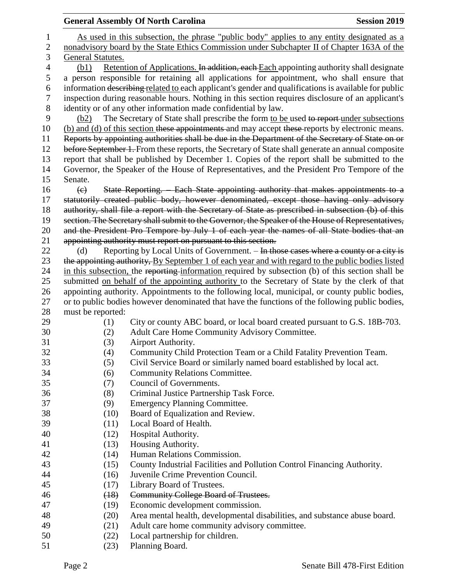|                | <b>General Assembly Of North Carolina</b>                                                         | <b>Session 2019</b>                                                                                                                                                                               |  |  |  |  |  |  |
|----------------|---------------------------------------------------------------------------------------------------|---------------------------------------------------------------------------------------------------------------------------------------------------------------------------------------------------|--|--|--|--|--|--|
| 1              | As used in this subsection, the phrase "public body" applies to any entity designated as a        |                                                                                                                                                                                                   |  |  |  |  |  |  |
| $\mathbf{2}$   | nonadvisory board by the State Ethics Commission under Subchapter II of Chapter 163A of the       |                                                                                                                                                                                                   |  |  |  |  |  |  |
| 3              | General Statutes.                                                                                 |                                                                                                                                                                                                   |  |  |  |  |  |  |
| $\overline{4}$ | (b1)                                                                                              | Retention of Applications. In addition, each Each appointing authority shall designate                                                                                                            |  |  |  |  |  |  |
| 5              |                                                                                                   | a person responsible for retaining all applications for appointment, who shall ensure that                                                                                                        |  |  |  |  |  |  |
| 6              |                                                                                                   | information describing related to each applicant's gender and qualifications is available for public                                                                                              |  |  |  |  |  |  |
| $\overline{7}$ |                                                                                                   | inspection during reasonable hours. Nothing in this section requires disclosure of an applicant's                                                                                                 |  |  |  |  |  |  |
| $8\,$          | identity or of any other information made confidential by law.                                    |                                                                                                                                                                                                   |  |  |  |  |  |  |
| 9              | The Secretary of State shall prescribe the form to be used to report under subsections<br>(b2)    |                                                                                                                                                                                                   |  |  |  |  |  |  |
| 10             | (b) and (d) of this section these appointments and may accept these reports by electronic means.  |                                                                                                                                                                                                   |  |  |  |  |  |  |
| 11             | Reports by appointing authorities shall be due in the Department of the Secretary of State on or  |                                                                                                                                                                                                   |  |  |  |  |  |  |
| 12             | before September 1. From these reports, the Secretary of State shall generate an annual composite |                                                                                                                                                                                                   |  |  |  |  |  |  |
| 13             | report that shall be published by December 1. Copies of the report shall be submitted to the      |                                                                                                                                                                                                   |  |  |  |  |  |  |
| 14             | Governor, the Speaker of the House of Representatives, and the President Pro Tempore of the       |                                                                                                                                                                                                   |  |  |  |  |  |  |
| 15             | Senate.                                                                                           |                                                                                                                                                                                                   |  |  |  |  |  |  |
| 16             | $\left(\epsilon\right)$                                                                           | State Reporting. Each State appointing authority that makes appointments to a                                                                                                                     |  |  |  |  |  |  |
| 17             |                                                                                                   | statutorily created public body, however denominated, except those having only advisory                                                                                                           |  |  |  |  |  |  |
| 18             |                                                                                                   | authority, shall file a report with the Secretary of State as prescribed in subsection (b) of this                                                                                                |  |  |  |  |  |  |
| 19             | section. The Secretary shall submit to the Governor, the Speaker of the House of Representatives, |                                                                                                                                                                                                   |  |  |  |  |  |  |
| 20             | and the President Pro Tempore by July 1 of each year the names of all State bodies that an        |                                                                                                                                                                                                   |  |  |  |  |  |  |
| 21             |                                                                                                   | appointing authority must report on pursuant to this section.                                                                                                                                     |  |  |  |  |  |  |
| 22             | (d)                                                                                               | Reporting by Local Units of Government. – In those cases where a county or a city is                                                                                                              |  |  |  |  |  |  |
| 23             |                                                                                                   | the appointing authority, By September 1 of each year and with regard to the public bodies listed                                                                                                 |  |  |  |  |  |  |
| 24             |                                                                                                   | in this subsection, the reporting information required by subsection (b) of this section shall be                                                                                                 |  |  |  |  |  |  |
| 25             |                                                                                                   | submitted on behalf of the appointing authority to the Secretary of State by the clerk of that                                                                                                    |  |  |  |  |  |  |
| 26<br>27       |                                                                                                   | appointing authority. Appointments to the following local, municipal, or county public bodies,<br>or to public bodies however denominated that have the functions of the following public bodies, |  |  |  |  |  |  |
| 28             | must be reported:                                                                                 |                                                                                                                                                                                                   |  |  |  |  |  |  |
| 29             | (1)                                                                                               | City or county ABC board, or local board created pursuant to G.S. 18B-703.                                                                                                                        |  |  |  |  |  |  |
| 30             | (2)                                                                                               | Adult Care Home Community Advisory Committee.                                                                                                                                                     |  |  |  |  |  |  |
| 31             | (3)                                                                                               | Airport Authority.                                                                                                                                                                                |  |  |  |  |  |  |
| 32             | (4)                                                                                               | Community Child Protection Team or a Child Fatality Prevention Team.                                                                                                                              |  |  |  |  |  |  |
| 33             | (5)                                                                                               | Civil Service Board or similarly named board established by local act.                                                                                                                            |  |  |  |  |  |  |
| 34             | (6)                                                                                               | <b>Community Relations Committee.</b>                                                                                                                                                             |  |  |  |  |  |  |
| 35             | (7)                                                                                               | Council of Governments.                                                                                                                                                                           |  |  |  |  |  |  |
| 36             | (8)                                                                                               | Criminal Justice Partnership Task Force.                                                                                                                                                          |  |  |  |  |  |  |
| 37             | (9)                                                                                               | <b>Emergency Planning Committee.</b>                                                                                                                                                              |  |  |  |  |  |  |
| 38             | (10)                                                                                              | Board of Equalization and Review.                                                                                                                                                                 |  |  |  |  |  |  |
| 39             | (11)                                                                                              | Local Board of Health.                                                                                                                                                                            |  |  |  |  |  |  |
| 40             | (12)                                                                                              | Hospital Authority.                                                                                                                                                                               |  |  |  |  |  |  |
| 41             | (13)                                                                                              | Housing Authority.                                                                                                                                                                                |  |  |  |  |  |  |
| 42             | (14)                                                                                              | Human Relations Commission.                                                                                                                                                                       |  |  |  |  |  |  |
| 43             | (15)                                                                                              | County Industrial Facilities and Pollution Control Financing Authority.                                                                                                                           |  |  |  |  |  |  |
| 44             | (16)                                                                                              | Juvenile Crime Prevention Council.                                                                                                                                                                |  |  |  |  |  |  |
| 45             | (17)                                                                                              | Library Board of Trustees.                                                                                                                                                                        |  |  |  |  |  |  |
| 46             | (18)                                                                                              | <b>Community College Board of Trustees.</b>                                                                                                                                                       |  |  |  |  |  |  |
| 47             | (19)                                                                                              | Economic development commission.                                                                                                                                                                  |  |  |  |  |  |  |
| 48             | (20)                                                                                              | Area mental health, developmental disabilities, and substance abuse board.                                                                                                                        |  |  |  |  |  |  |
| 49             | (21)                                                                                              | Adult care home community advisory committee.                                                                                                                                                     |  |  |  |  |  |  |
| 50             | (22)                                                                                              | Local partnership for children.                                                                                                                                                                   |  |  |  |  |  |  |
| 51             | (23)                                                                                              | Planning Board.                                                                                                                                                                                   |  |  |  |  |  |  |